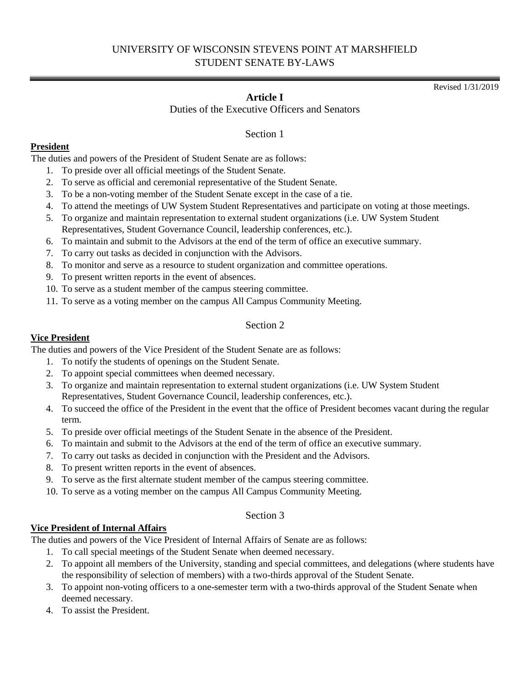# UNIVERSITY OF WISCONSIN STEVENS POINT AT MARSHFIELD STUDENT SENATE BY-LAWS

# **Article I**

Duties of the Executive Officers and Senators

Section 1

## **President**

The duties and powers of the President of Student Senate are as follows:

- 1. To preside over all official meetings of the Student Senate.
- 2. To serve as official and ceremonial representative of the Student Senate.
- 3. To be a non-voting member of the Student Senate except in the case of a tie.
- 4. To attend the meetings of UW System Student Representatives and participate on voting at those meetings.
- 5. To organize and maintain representation to external student organizations (i.e. UW System Student Representatives, Student Governance Council, leadership conferences, etc.).
- 6. To maintain and submit to the Advisors at the end of the term of office an executive summary.
- 7. To carry out tasks as decided in conjunction with the Advisors.
- 8. To monitor and serve as a resource to student organization and committee operations.
- 9. To present written reports in the event of absences.
- 10. To serve as a student member of the campus steering committee.
- 11. To serve as a voting member on the campus All Campus Community Meeting.

#### Section 2

#### **Vice President**

The duties and powers of the Vice President of the Student Senate are as follows:

- 1. To notify the students of openings on the Student Senate.
- 2. To appoint special committees when deemed necessary.
- 3. To organize and maintain representation to external student organizations (i.e. UW System Student Representatives, Student Governance Council, leadership conferences, etc.).
- 4. To succeed the office of the President in the event that the office of President becomes vacant during the regular term.
- 5. To preside over official meetings of the Student Senate in the absence of the President.
- 6. To maintain and submit to the Advisors at the end of the term of office an executive summary.
- 7. To carry out tasks as decided in conjunction with the President and the Advisors.
- 8. To present written reports in the event of absences.
- 9. To serve as the first alternate student member of the campus steering committee.
- 10. To serve as a voting member on the campus All Campus Community Meeting.

## Section 3

## **Vice President of Internal Affairs**

The duties and powers of the Vice President of Internal Affairs of Senate are as follows:

- 1. To call special meetings of the Student Senate when deemed necessary.
- 2. To appoint all members of the University, standing and special committees, and delegations (where students have the responsibility of selection of members) with a two-thirds approval of the Student Senate.
- 3. To appoint non-voting officers to a one-semester term with a two-thirds approval of the Student Senate when deemed necessary.
- 4. To assist the President.

Revised 1/31/2019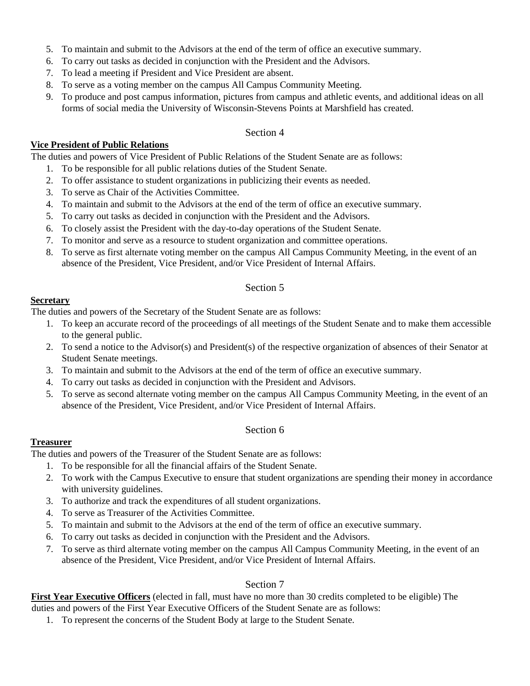- 5. To maintain and submit to the Advisors at the end of the term of office an executive summary.
- 6. To carry out tasks as decided in conjunction with the President and the Advisors.
- 7. To lead a meeting if President and Vice President are absent.
- 8. To serve as a voting member on the campus All Campus Community Meeting.
- 9. To produce and post campus information, pictures from campus and athletic events, and additional ideas on all forms of social media the University of Wisconsin-Stevens Points at Marshfield has created.

#### Section 4

#### **Vice President of Public Relations**

The duties and powers of Vice President of Public Relations of the Student Senate are as follows:

- 1. To be responsible for all public relations duties of the Student Senate.
- 2. To offer assistance to student organizations in publicizing their events as needed.
- 3. To serve as Chair of the Activities Committee.
- 4. To maintain and submit to the Advisors at the end of the term of office an executive summary.
- 5. To carry out tasks as decided in conjunction with the President and the Advisors.
- 6. To closely assist the President with the day-to-day operations of the Student Senate.
- 7. To monitor and serve as a resource to student organization and committee operations.
- 8. To serve as first alternate voting member on the campus All Campus Community Meeting, in the event of an absence of the President, Vice President, and/or Vice President of Internal Affairs.

#### Section 5

## **Secretary**

The duties and powers of the Secretary of the Student Senate are as follows:

- 1. To keep an accurate record of the proceedings of all meetings of the Student Senate and to make them accessible to the general public.
- 2. To send a notice to the Advisor(s) and President(s) of the respective organization of absences of their Senator at Student Senate meetings.
- 3. To maintain and submit to the Advisors at the end of the term of office an executive summary.
- 4. To carry out tasks as decided in conjunction with the President and Advisors.
- 5. To serve as second alternate voting member on the campus All Campus Community Meeting, in the event of an absence of the President, Vice President, and/or Vice President of Internal Affairs.

## Section 6

## **Treasurer**

The duties and powers of the Treasurer of the Student Senate are as follows:

- 1. To be responsible for all the financial affairs of the Student Senate.
- 2. To work with the Campus Executive to ensure that student organizations are spending their money in accordance with university guidelines.
- 3. To authorize and track the expenditures of all student organizations.
- 4. To serve as Treasurer of the Activities Committee.
- 5. To maintain and submit to the Advisors at the end of the term of office an executive summary.
- 6. To carry out tasks as decided in conjunction with the President and the Advisors.
- 7. To serve as third alternate voting member on the campus All Campus Community Meeting, in the event of an absence of the President, Vice President, and/or Vice President of Internal Affairs.

## Section 7

**First Year Executive Officers** (elected in fall, must have no more than 30 credits completed to be eligible) The

- duties and powers of the First Year Executive Officers of the Student Senate are as follows:
	- 1. To represent the concerns of the Student Body at large to the Student Senate.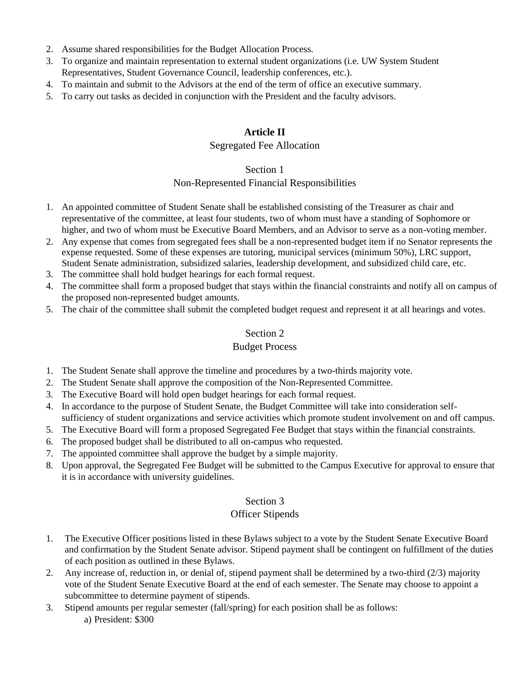- 2. Assume shared responsibilities for the Budget Allocation Process.
- 3. To organize and maintain representation to external student organizations (i.e. UW System Student Representatives, Student Governance Council, leadership conferences, etc.).
- 4. To maintain and submit to the Advisors at the end of the term of office an executive summary.
- 5. To carry out tasks as decided in conjunction with the President and the faculty advisors.

## **Article II**

## Segregated Fee Allocation

#### Section 1

## Non-Represented Financial Responsibilities

- 1. An appointed committee of Student Senate shall be established consisting of the Treasurer as chair and representative of the committee, at least four students, two of whom must have a standing of Sophomore or higher, and two of whom must be Executive Board Members, and an Advisor to serve as a non-voting member.
- 2. Any expense that comes from segregated fees shall be a non-represented budget item if no Senator represents the expense requested. Some of these expenses are tutoring, municipal services (minimum 50%), LRC support, Student Senate administration, subsidized salaries, leadership development, and subsidized child care, etc.
- 3. The committee shall hold budget hearings for each formal request.
- 4. The committee shall form a proposed budget that stays within the financial constraints and notify all on campus of the proposed non-represented budget amounts.
- 5. The chair of the committee shall submit the completed budget request and represent it at all hearings and votes.

# Section 2

## Budget Process

- 1. The Student Senate shall approve the timeline and procedures by a two-thirds majority vote.
- 2. The Student Senate shall approve the composition of the Non-Represented Committee.
- 3. The Executive Board will hold open budget hearings for each formal request.
- 4. In accordance to the purpose of Student Senate, the Budget Committee will take into consideration selfsufficiency of student organizations and service activities which promote student involvement on and off campus.
- 5. The Executive Board will form a proposed Segregated Fee Budget that stays within the financial constraints.
- 6. The proposed budget shall be distributed to all on-campus who requested.
- 7. The appointed committee shall approve the budget by a simple majority.
- 8. Upon approval, the Segregated Fee Budget will be submitted to the Campus Executive for approval to ensure that it is in accordance with university guidelines.

## Section 3

## Officer Stipends

- 1. The Executive Officer positions listed in these Bylaws subject to a vote by the Student Senate Executive Board and confirmation by the Student Senate advisor. Stipend payment shall be contingent on fulfillment of the duties of each position as outlined in these Bylaws.
- 2. Any increase of, reduction in, or denial of, stipend payment shall be determined by a two-third (2/3) majority vote of the Student Senate Executive Board at the end of each semester. The Senate may choose to appoint a subcommittee to determine payment of stipends.
- 3. Stipend amounts per regular semester (fall/spring) for each position shall be as follows: a) President: \$300